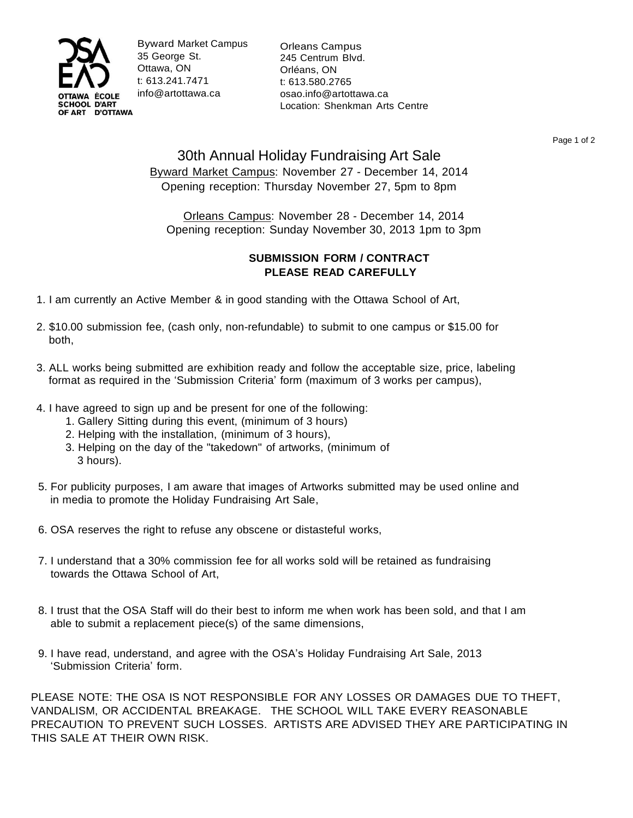

Byward Market Campus 35 George St. Ottawa, ON t: 613.241.7471 [info@artottawa.ca](mailto:info@artottawa.ca)

Orleans Campus 245 Centrum Blvd. Orléans, ON t: 613.580.2765 [osao.info@artottawa.ca](mailto:osao.info@artottawa.ca) Location: Shenkman Arts Centre

Page 1 of 2

## 30th Annual Holiday Fundraising Art Sale Byward Market Campus: November 27 - December 14, 2014 Opening reception: Thursday November 27, 5pm to 8pm

Orleans Campus: November 28 - December 14, 2014 Opening reception: Sunday November 30, 2013 1pm to 3pm

## **SUBMISSION FORM / CONTRACT PLEASE READ CAREFULLY**

- 1. I am currently an Active Member & in good standing with the Ottawa School of Art,
- 2. \$10.00 submission fee, (cash only, non-refundable) to submit to one campus or \$15.00 for both,
- 3. ALL works being submitted are exhibition ready and follow the acceptable size, price, labeling format as required in the 'Submission Criteria' form (maximum of 3 works per campus),
- 4. I have agreed to sign up and be present for one of the following:
	- 1. Gallery Sitting during this event, (minimum of 3 hours)
	- 2. Helping with the installation, (minimum of 3 hours),
	- 3. Helping on the day of the "takedown" of artworks, (minimum of 3 hours).
- 5. For publicity purposes, I am aware that images of Artworks submitted may be used online and in media to promote the Holiday Fundraising Art Sale,
- 6. OSA reserves the right to refuse any obscene or distasteful works,
- 7. I understand that a 30% commission fee for all works sold will be retained as fundraising towards the Ottawa School of Art,
- 8. I trust that the OSA Staff will do their best to inform me when work has been sold, and that I am able to submit a replacement piece(s) of the same dimensions,
- 9. I have read, understand, and agree with the OSA's Holiday Fundraising Art Sale, 2013 'Submission Criteria' form.

PLEASE NOTE: THE OSA IS NOT RESPONSIBLE FOR ANY LOSSES OR DAMAGES DUE TO THEFT, VANDALISM, OR ACCIDENTAL BREAKAGE. THE SCHOOL WILL TAKE EVERY REASONABLE PRECAUTION TO PREVENT SUCH LOSSES. ARTISTS ARE ADVISED THEY ARE PARTICIPATING IN THIS SALE AT THEIR OWN RISK.